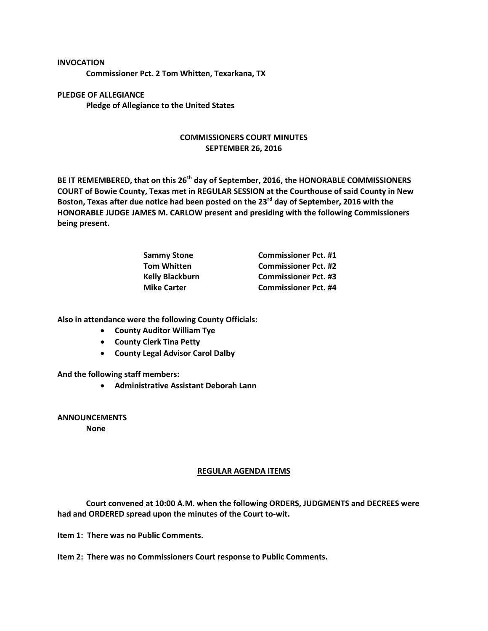**INVOCATION Commissioner Pct. 2 Tom Whitten, Texarkana, TX**

**PLEDGE OF ALLEGIANCE Pledge of Allegiance to the United States**

## **COMMISSIONERS COURT MINUTES SEPTEMBER 26, 2016**

**BE IT REMEMBERED, that on this 26th day of September, 2016, the HONORABLE COMMISSIONERS COURT of Bowie County, Texas met in REGULAR SESSION at the Courthouse of said County in New Boston, Texas after due notice had been posted on the 23rd day of September, 2016 with the HONORABLE JUDGE JAMES M. CARLOW present and presiding with the following Commissioners being present.**

| <b>Sammy Stone</b>     | <b>Commissioner Pct. #1</b> |
|------------------------|-----------------------------|
| <b>Tom Whitten</b>     | <b>Commissioner Pct. #2</b> |
| <b>Kelly Blackburn</b> | <b>Commissioner Pct. #3</b> |
| <b>Mike Carter</b>     | <b>Commissioner Pct. #4</b> |

**Also in attendance were the following County Officials:**

- **County Auditor William Tye**
- **County Clerk Tina Petty**
- **County Legal Advisor Carol Dalby**

**And the following staff members:**

**Administrative Assistant Deborah Lann**

**ANNOUNCEMENTS**

**None**

## **REGULAR AGENDA ITEMS**

**Court convened at 10:00 A.M. when the following ORDERS, JUDGMENTS and DECREES were had and ORDERED spread upon the minutes of the Court to-wit.**

**Item 1: There was no Public Comments.**

**Item 2: There was no Commissioners Court response to Public Comments.**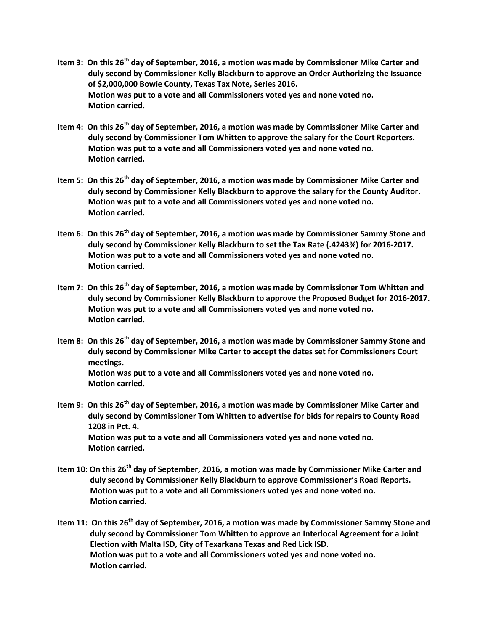- **Item 3: On this 26th day of September, 2016, a motion was made by Commissioner Mike Carter and duly second by Commissioner Kelly Blackburn to approve an Order Authorizing the Issuance of \$2,000,000 Bowie County, Texas Tax Note, Series 2016. Motion was put to a vote and all Commissioners voted yes and none voted no. Motion carried.**
- **Item 4: On this 26th day of September, 2016, a motion was made by Commissioner Mike Carter and duly second by Commissioner Tom Whitten to approve the salary for the Court Reporters. Motion was put to a vote and all Commissioners voted yes and none voted no. Motion carried.**
- **Item 5: On this 26th day of September, 2016, a motion was made by Commissioner Mike Carter and duly second by Commissioner Kelly Blackburn to approve the salary for the County Auditor. Motion was put to a vote and all Commissioners voted yes and none voted no. Motion carried.**
- **Item 6: On this 26th day of September, 2016, a motion was made by Commissioner Sammy Stone and duly second by Commissioner Kelly Blackburn to set the Tax Rate (.4243%) for 2016-2017. Motion was put to a vote and all Commissioners voted yes and none voted no. Motion carried.**
- **Item 7: On this 26th day of September, 2016, a motion was made by Commissioner Tom Whitten and duly second by Commissioner Kelly Blackburn to approve the Proposed Budget for 2016-2017. Motion was put to a vote and all Commissioners voted yes and none voted no. Motion carried.**
- **Item 8: On this 26th day of September, 2016, a motion was made by Commissioner Sammy Stone and duly second by Commissioner Mike Carter to accept the dates set for Commissioners Court meetings. Motion was put to a vote and all Commissioners voted yes and none voted no. Motion carried.**
- **Item 9: On this 26th day of September, 2016, a motion was made by Commissioner Mike Carter and duly second by Commissioner Tom Whitten to advertise for bids for repairs to County Road 1208 in Pct. 4. Motion was put to a vote and all Commissioners voted yes and none voted no. Motion carried.**
- **Item 10: On this 26th day of September, 2016, a motion was made by Commissioner Mike Carter and duly second by Commissioner Kelly Blackburn to approve Commissioner's Road Reports. Motion was put to a vote and all Commissioners voted yes and none voted no. Motion carried.**
- **Item 11: On this 26th day of September, 2016, a motion was made by Commissioner Sammy Stone and duly second by Commissioner Tom Whitten to approve an Interlocal Agreement for a Joint Election with Malta ISD, City of Texarkana Texas and Red Lick ISD. Motion was put to a vote and all Commissioners voted yes and none voted no. Motion carried.**